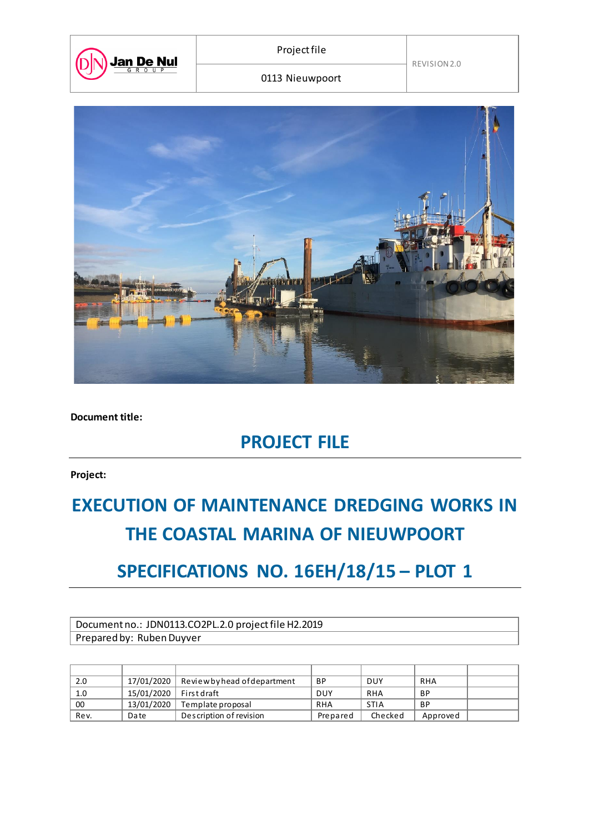

REVISION 2.0

0113 Nieuwpoort



**Document title:**

## **PROJECT FILE**

**Project:**

# **EXECUTION OF MAINTENANCE DREDGING WORKS IN THE COASTAL MARINA OF NIEUWPOORT**

## **SPECIFICATIONS NO. 16EH/18/15 – PLOT 1**

Document no.: JDN0113.CO2PL.2.0 project file H2.2019 Prepared by: Ruben Duyver

| 2.0  | 17/01/2020               | Review by head of department | <b>BP</b>  | <b>DUY</b>  | <b>RHA</b> |  |
|------|--------------------------|------------------------------|------------|-------------|------------|--|
| 1.0  | 15/01/2020   First draft |                              | <b>DUY</b> | <b>RHA</b>  | ВP         |  |
| 00   | 13/01/2020               | Template proposal            | RHA        | <b>STIA</b> | ВP         |  |
| Rev. | Date                     | Description of revision      | Prepared   | Checked     | Approved   |  |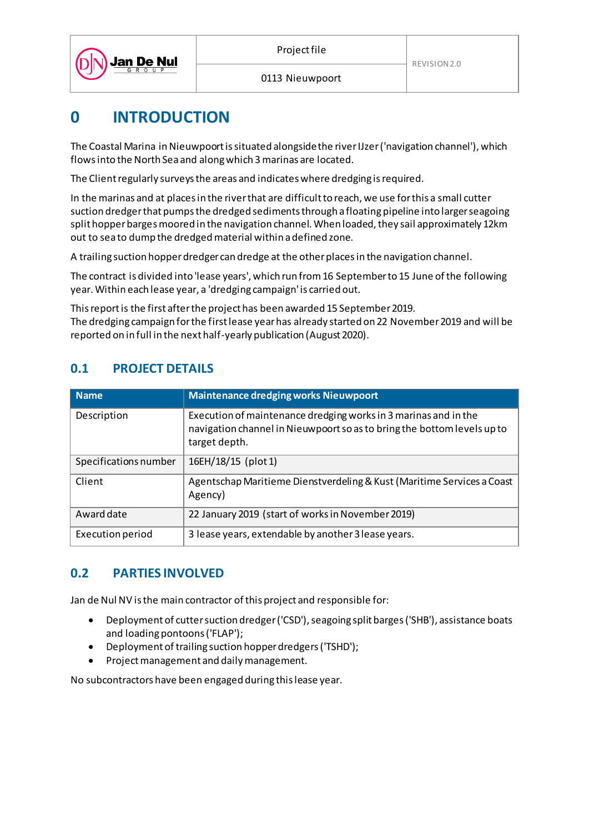

0113 Nieuwpoort

## **0 INTRODUCTION**

The Coastal Marina in Nieuwpoort is situated alongside the river IJzer ('navigation channel'), which flows into the North Sea and along which 3 marinas are located.

The Client regularly surveys the areas and indicates where dredging is required.

In the marinas and at places in the river that are difficult to reach, we use for this a small cutter suction dredger that pumps the dredged sediments through a floating pipeline into larger seagoing split hopper barges moored in the navigation channel. When loaded, they sail approximately 12km out to sea to dump the dredged material within a defined zone.

A trailing suction hopper dredger can dredge at the other places in the navigation channel.

The contract is divided into 'lease years', which run from 16 September to 15 June of the following year. Within each lease year, a 'dredging campaign' is carried out.

This report is the first after the project has been awarded 15 September 2019. The dredging campaign for the first lease year has already started on 22 November 2019 and will be reported on in full in the next half-yearly publication (August 2020).

#### **0.1 PROJECT DETAILS**

| <b>Name</b>           | <b>Maintenance dredging works Nieuwpoort</b>                                                                                                                |
|-----------------------|-------------------------------------------------------------------------------------------------------------------------------------------------------------|
| Description           | Execution of maintenance dredging works in 3 marinas and in the<br>navigation channel in Nieuwpoort so as to bring the bottom levels up to<br>target depth. |
| Specifications number | 16EH/18/15 (plot 1)                                                                                                                                         |
| Client                | Agentschap Maritieme Dienstverdeling & Kust (Maritime Services a Coast<br>Agency)                                                                           |
| Award date            | 22 January 2019 (start of works in November 2019)                                                                                                           |
| Execution period      | 3 lease years, extendable by another 3 lease years.                                                                                                         |

#### **0.2 PARTIES INVOLVED**

Jan de Nul NV is the main contractor of this project and responsible for:

- Deployment of cutter suction dredger ('CSD'), seagoing split barges ('SHB'), assistance boats and loading pontoons ('FLAP');
- Deployment of trailing suction hopper dredgers ('TSHD');
- Project management and daily management.

No subcontractors have been engaged during this lease year.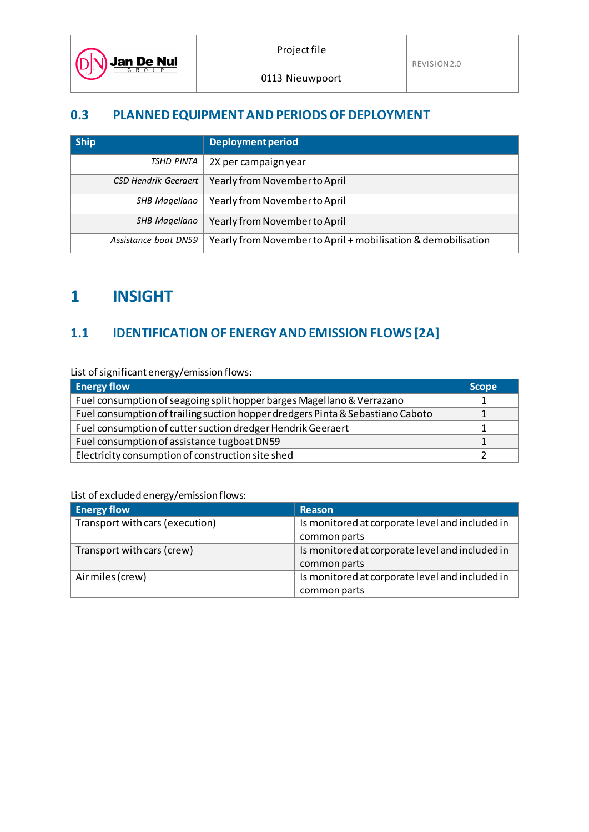0113 Nieuwpoort

#### **0.3 PLANNED EQUIPMENT AND PERIODS OF DEPLOYMENT**

| <b>Ship</b>                 | <b>Deployment period</b>                                      |
|-----------------------------|---------------------------------------------------------------|
| TSHD PINTA                  | 2X per campaign year                                          |
| <b>CSD Hendrik Geergert</b> | Yearly from Novemberto April                                  |
| SHB Magellano               | Yearly from November to April                                 |
| SHB Magellano               | Yearly from November to April                                 |
| Assistance boat DN59        | Yearly from November to April + mobilisation & demobilisation |

### **1 INSIGHT**

Jan De Nul

Dl

#### **1.1 IDENTIFICATION OF ENERGY AND EMISSION FLOWS [2A]**

List of significant energy/emission flows:

| <b>Energy flow</b>                                                             | <b>Scope</b> |
|--------------------------------------------------------------------------------|--------------|
| Fuel consumption of seagoing split hopper barges Magellano & Verrazano         |              |
| Fuel consumption of trailing suction hopper dredgers Pinta & Sebastiano Caboto |              |
| Fuel consumption of cutter suction dredger Hendrik Geeraert                    |              |
| Fuel consumption of assistance tugboat DN59                                    |              |
| Electricity consumption of construction site shed                              |              |

#### List of excluded energy/emission flows:

| <b>Energy flow</b>              | <b>Reason</b>                                   |
|---------------------------------|-------------------------------------------------|
| Transport with cars (execution) | Is monitored at corporate level and included in |
|                                 | common parts                                    |
| Transport with cars (crew)      | Is monitored at corporate level and included in |
|                                 | common parts                                    |
| Air miles (crew)                | Is monitored at corporate level and included in |
|                                 | common parts                                    |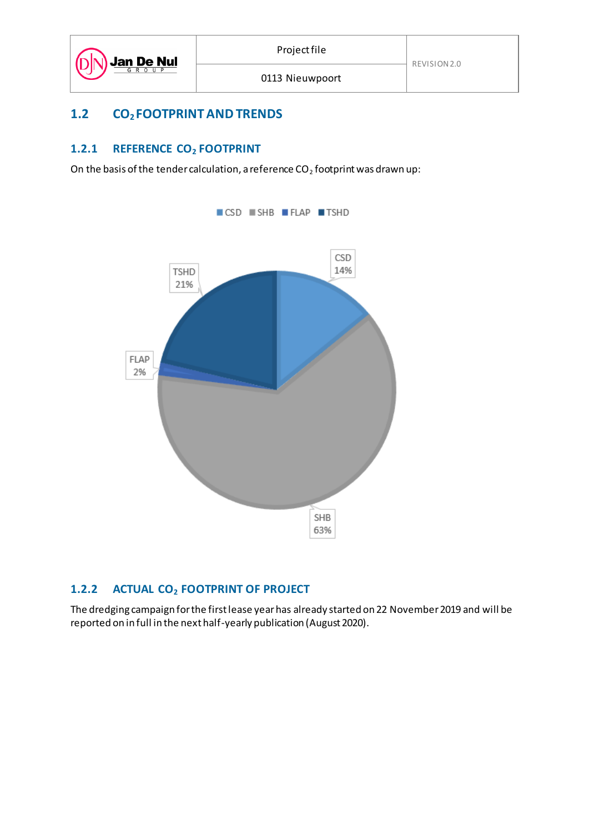#### **1.2 CO2 FOOTPRINT AND TRENDS**

#### **1.2.1 REFERENCE CO<sup>2</sup> FOOTPRINT**

On the basis of the tender calculation, a reference  $CO<sub>2</sub>$  footprint was drawn up:



#### **1.2.2 ACTUAL CO<sup>2</sup> FOOTPRINT OF PROJECT**

The dredging campaign for the first lease year has already started on 22 November 2019 and will be reported on in full in the next half-yearly publication (August 2020).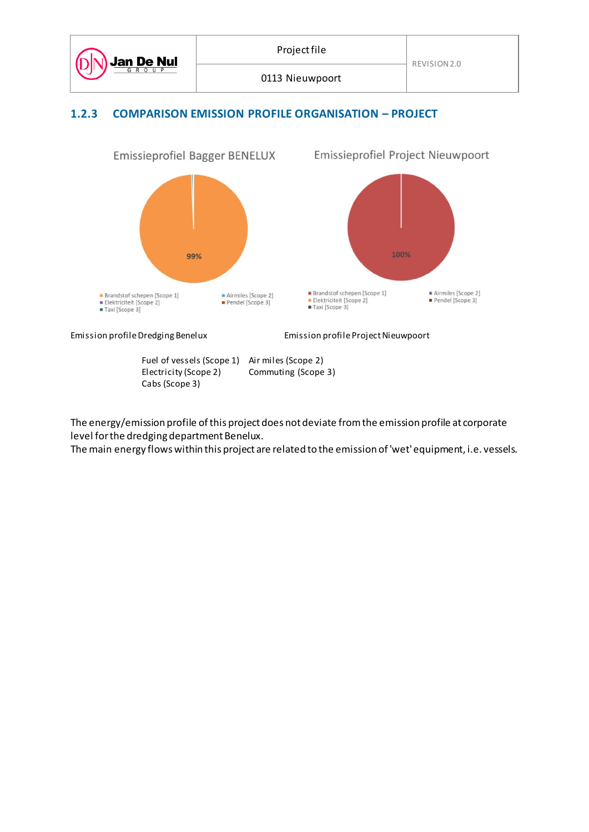



Fuel of vessels (Scope 1) Air miles (Scope 2)<br>Electricity (Scope 2) Commuting (Scope Commuting (Scope 3) Cabs (Scope 3)

The energy/emission profile of this project does not deviate from the emission profile at corporate level for the dredging department Benelux.

The main energy flows within this project are related to the emission of 'wet' equipment, i.e. vessels.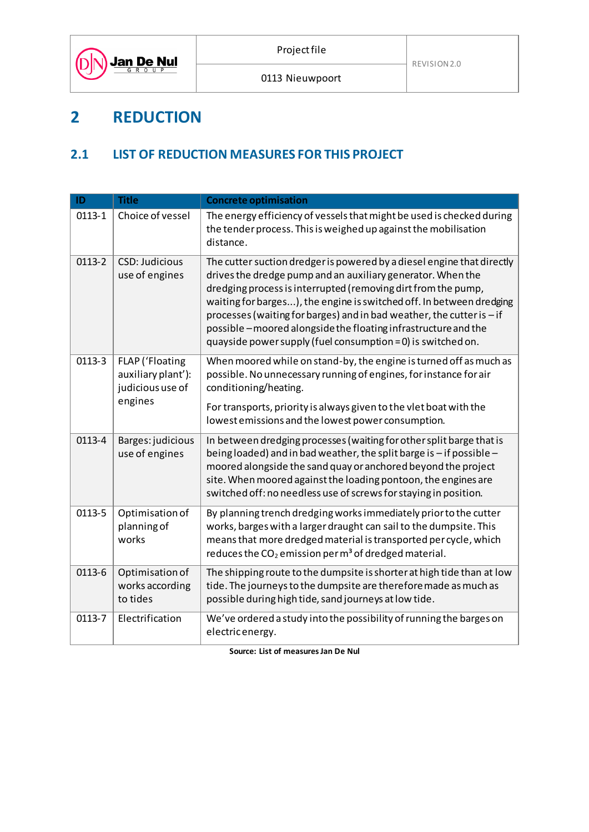

## **2 REDUCTION**

#### **2.1 LIST OF REDUCTION MEASURES FOR THIS PROJECT**

| ID                                                                             | <b>Title</b>                                   | <b>Concrete optimisation</b>                                                                                                                                                                                                                                                                                                                                                                                                                                                             |
|--------------------------------------------------------------------------------|------------------------------------------------|------------------------------------------------------------------------------------------------------------------------------------------------------------------------------------------------------------------------------------------------------------------------------------------------------------------------------------------------------------------------------------------------------------------------------------------------------------------------------------------|
| $0113 - 1$                                                                     | Choice of vessel                               | The energy efficiency of vessels that might be used is checked during<br>the tender process. This is weighed up against the mobilisation<br>distance.                                                                                                                                                                                                                                                                                                                                    |
| 0113-2                                                                         | <b>CSD: Judicious</b><br>use of engines        | The cutter suction dredger is powered by a diesel engine that directly<br>drives the dredge pump and an auxiliary generator. When the<br>dredging process is interrupted (removing dirt from the pump,<br>waiting for barges), the engine is switched off. In between dredging<br>processes (waiting for barges) and in bad weather, the cutter is - if<br>possible-moored alongside the floating infrastructure and the<br>quayside power supply (fuel consumption = 0) is switched on. |
| 0113-3<br>FLAP ('Floating<br>auxiliary plant'):<br>judicious use of<br>engines |                                                | When moored while on stand-by, the engine is turned off as much as<br>possible. No unnecessary running of engines, for instance for air<br>conditioning/heating.                                                                                                                                                                                                                                                                                                                         |
|                                                                                |                                                | For transports, priority is always given to the vlet boat with the<br>lowest emissions and the lowest power consumption.                                                                                                                                                                                                                                                                                                                                                                 |
| 0113-4                                                                         | Barges: judicious<br>use of engines            | In between dredging processes (waiting for other split barge that is<br>being loaded) and in bad weather, the split barge is - if possible -<br>moored alongside the sand quay or anchored beyond the project<br>site. When moored against the loading pontoon, the engines are<br>switched off: no needless use of screws for staying in position.                                                                                                                                      |
| 0113-5                                                                         | Optimisation of<br>planning of<br>works        | By planning trench dredging works immediately prior to the cutter<br>works, barges with a larger draught can sail to the dumpsite. This<br>means that more dredged material is transported per cycle, which<br>reduces the $CO2$ emission per m <sup>3</sup> of dredged material.                                                                                                                                                                                                        |
| 0113-6                                                                         | Optimisation of<br>works according<br>to tides | The shipping route to the dumpsite is shorter at high tide than at low<br>tide. The journeys to the dumpsite are therefore made as much as<br>possible during high tide, sand journeys at low tide.                                                                                                                                                                                                                                                                                      |
| 0113-7                                                                         | Electrification                                | We've ordered a study into the possibility of running the barges on<br>electricenergy.                                                                                                                                                                                                                                                                                                                                                                                                   |

**Source: List of measures Jan De Nul**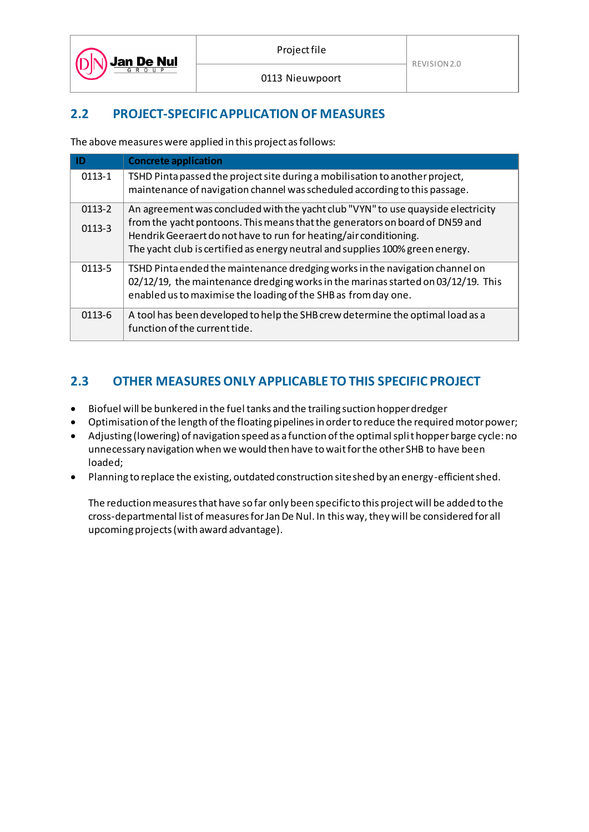

#### **2.2 PROJECT-SPECIFIC APPLICATION OF MEASURES**

The above measures were applied in this project as follows:

| ID                     | <b>Concrete application</b>                                                                                                                                                                                                                                                                                            |
|------------------------|------------------------------------------------------------------------------------------------------------------------------------------------------------------------------------------------------------------------------------------------------------------------------------------------------------------------|
| $0113 - 1$             | TSHD Pinta passed the project site during a mobilisation to another project,<br>maintenance of navigation channel was scheduled according to this passage.                                                                                                                                                             |
| $0113 - 2$<br>$0113-3$ | An agreement was concluded with the yacht club "VYN" to use quayside electricity<br>from the yacht pontoons. This means that the generators on board of DN59 and<br>Hendrik Geeraert do not have to run for heating/air conditioning.<br>The yacht club is certified as energy neutral and supplies 100% green energy. |
| 0113-5                 | TSHD Pinta ended the maintenance dredging works in the navigation channel on<br>02/12/19, the maintenance dredging works in the marinas started on 03/12/19. This<br>enabled us to maximise the loading of the SHB as from day one.                                                                                    |
| 0113-6                 | A tool has been developed to help the SHB crew determine the optimal load as a<br>function of the current tide.                                                                                                                                                                                                        |

#### **2.3 OTHER MEASURES ONLY APPLICABLE TO THIS SPECIFIC PROJECT**

- Biofuel will be bunkered in the fuel tanks and the trailing suction hopper dredger
- Optimisation of the length of the floating pipelines in order to reduce the required motor power;
- Adjusting (lowering) of navigation speed as a function of the optimal split hopper barge cycle: no unnecessary navigation when we would then have to wait for the other SHB to have been loaded;
- Planning to replace the existing, outdated construction site shed by an energy-efficient shed.

The reduction measures that have so far only been specific to this project will be added to the cross-departmental list of measures for Jan De Nul. In this way, they will be considered for all upcoming projects (with award advantage).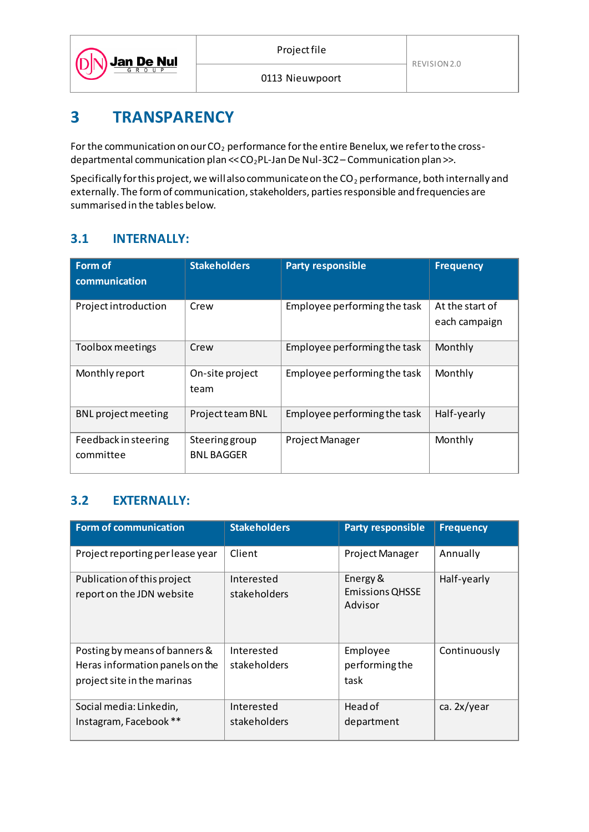

## **3 TRANSPARENCY**

For the communication on our  $CO<sub>2</sub>$  performance for the entire Benelux, we refer to the crossdepartmental communication plan << CO2PL-Jan De Nul-3C2 – Communication plan >>.

Specifically for this project, we will also communicate on the  $CO_2$  performance, both internally and externally. The form of communication, stakeholders, parties responsible and frequencies are summarised in the tables below.

#### **3.1 INTERNALLY:**

| Form of<br>communication          | <b>Stakeholders</b>                        | <b>Party responsible</b>     | <b>Frequency</b>                 |
|-----------------------------------|--------------------------------------------|------------------------------|----------------------------------|
| Project introduction              | Crew                                       | Employee performing the task | At the start of<br>each campaign |
| Toolbox meetings                  | Crew                                       | Employee performing the task | Monthly                          |
| Monthly report                    | On-site project<br>team                    | Employee performing the task | Monthly                          |
| <b>BNL</b> project meeting        | Project team BNL                           | Employee performing the task | Half-yearly                      |
| Feedback in steering<br>committee | <b>Steering group</b><br><b>BNL BAGGER</b> | <b>Project Manager</b>       | Monthly                          |

#### **3.2 EXTERNALLY:**

| <b>Form of communication</b>                                                                    | <b>Stakeholders</b>        | <b>Party responsible</b>                      | <b>Frequency</b> |
|-------------------------------------------------------------------------------------------------|----------------------------|-----------------------------------------------|------------------|
| Project reporting per lease year                                                                | Client                     | <b>Project Manager</b>                        | Annually         |
| Publication of this project<br>report on the JDN website                                        | Interested<br>stakeholders | Energy &<br><b>Emissions QHSSE</b><br>Advisor | Half-yearly      |
| Posting by means of banners &<br>Heras information panels on the<br>project site in the marinas | Interested<br>stakeholders | Employee<br>performing the<br>task            | Continuously     |
| Social media: Linkedin,<br>Instagram, Facebook **                                               | Interested<br>stakeholders | Head of<br>department                         | ca. 2x/year      |